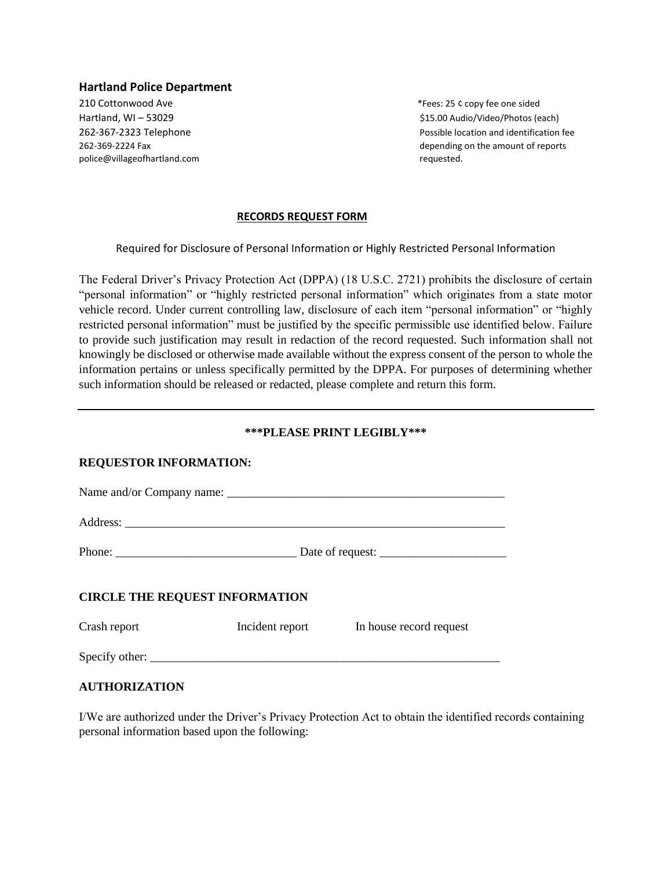### **Hartland Police Department**

210 Cottonwood Ave and the state of the state of the state of the state of the state of the state of the state of the state of the state of the state of the state of the state of the state of the state of the state of the police@villageofhartland.com example and the control of the control of the control of the control of the control of the control of the control of the control of the control of the control of the control of the control of t

Hartland, WI – 53029 \$15.00 Audio/Video/Photos (each) 262-367-2323 Telephone Possible location and identification fee 262-369-2224 Fax depending on the amount of reports

### **RECORDS REQUEST FORM**

Required for Disclosure of Personal Information or Highly Restricted Personal Information

The Federal Driver's Privacy Protection Act (DPPA) (18 U.S.C. 2721) prohibits the disclosure of certain "personal information" or "highly restricted personal information" which originates from a state motor vehicle record. Under current controlling law, disclosure of each item "personal information" or "highly restricted personal information" must be justified by the specific permissible use identified below. Failure to provide such justification may result in redaction of the record requested. Such information shall not knowingly be disclosed or otherwise made available without the express consent of the person to whole the information pertains or unless specifically permitted by the DPPA. For purposes of determining whether such information should be released or redacted, please complete and return this form.

### **\*\*\*PLEASE PRINT LEGIBLY\*\*\***

### **REQUESTOR INFORMATION:**

| Name and/or Company name: |  |
|---------------------------|--|
|                           |  |

Address: \_\_\_\_\_\_\_\_\_\_\_\_\_\_\_\_\_\_\_\_\_\_\_\_\_\_\_\_\_\_\_\_\_\_\_\_\_\_\_\_\_\_\_\_\_\_\_\_\_\_\_\_\_\_\_\_\_\_\_\_\_\_\_

Phone: \_\_\_\_\_\_\_\_\_\_\_\_\_\_\_\_\_\_\_\_\_\_\_\_\_\_\_\_\_\_ Date of request: \_\_\_\_\_\_\_\_\_\_\_\_\_\_\_\_\_\_\_\_\_

# **CIRCLE THE REQUEST INFORMATION**

| Crash report | Incident report | In house record request |
|--------------|-----------------|-------------------------|
|              |                 |                         |

Specify other:  $\Box$ 

# **AUTHORIZATION**

I/We are authorized under the Driver's Privacy Protection Act to obtain the identified records containing personal information based upon the following: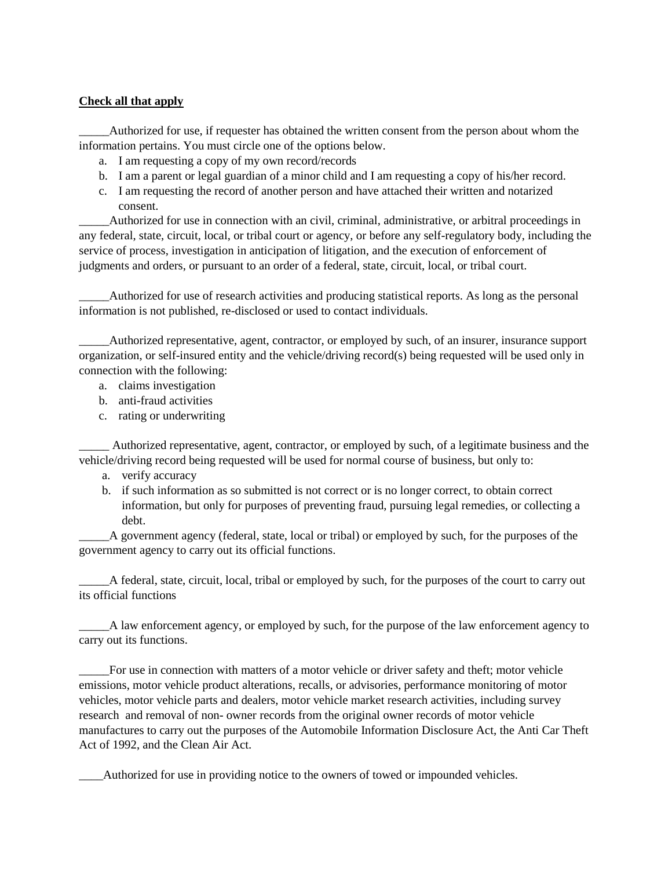### **Check all that apply**

\_\_\_\_\_Authorized for use, if requester has obtained the written consent from the person about whom the information pertains. You must circle one of the options below.

- a. I am requesting a copy of my own record/records
- b. I am a parent or legal guardian of a minor child and I am requesting a copy of his/her record.
- c. I am requesting the record of another person and have attached their written and notarized consent.

\_\_\_\_\_Authorized for use in connection with an civil, criminal, administrative, or arbitral proceedings in any federal, state, circuit, local, or tribal court or agency, or before any self-regulatory body, including the service of process, investigation in anticipation of litigation, and the execution of enforcement of judgments and orders, or pursuant to an order of a federal, state, circuit, local, or tribal court.

\_\_\_\_\_Authorized for use of research activities and producing statistical reports. As long as the personal information is not published, re-disclosed or used to contact individuals.

\_\_\_\_\_Authorized representative, agent, contractor, or employed by such, of an insurer, insurance support organization, or self-insured entity and the vehicle/driving record(s) being requested will be used only in connection with the following:

- a. claims investigation
- b. anti-fraud activities
- c. rating or underwriting

\_\_\_\_\_ Authorized representative, agent, contractor, or employed by such, of a legitimate business and the vehicle/driving record being requested will be used for normal course of business, but only to:

- a. verify accuracy
- b. if such information as so submitted is not correct or is no longer correct, to obtain correct information, but only for purposes of preventing fraud, pursuing legal remedies, or collecting a debt.

\_\_\_\_\_A government agency (federal, state, local or tribal) or employed by such, for the purposes of the government agency to carry out its official functions.

\_\_\_\_\_A federal, state, circuit, local, tribal or employed by such, for the purposes of the court to carry out its official functions

\_\_\_\_\_A law enforcement agency, or employed by such, for the purpose of the law enforcement agency to carry out its functions.

\_\_\_\_\_For use in connection with matters of a motor vehicle or driver safety and theft; motor vehicle emissions, motor vehicle product alterations, recalls, or advisories, performance monitoring of motor vehicles, motor vehicle parts and dealers, motor vehicle market research activities, including survey research and removal of non- owner records from the original owner records of motor vehicle manufactures to carry out the purposes of the Automobile Information Disclosure Act, the Anti Car Theft Act of 1992, and the Clean Air Act.

\_\_\_\_Authorized for use in providing notice to the owners of towed or impounded vehicles.